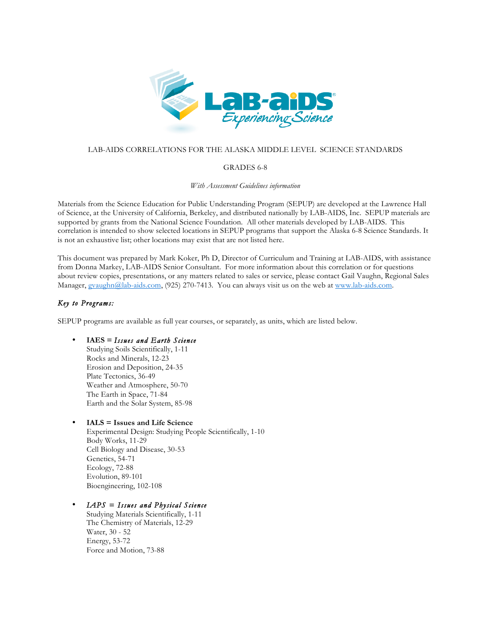

## LAB-AIDS CORRELATIONS FOR THE ALASKA MIDDLE LEVEL SCIENCE STANDARDS

### GRADES 6-8

*With Assessment Guidelines information*

Materials from the Science Education for Public Understanding Program (SEPUP) are developed at the Lawrence Hall of Science, at the University of California, Berkeley, and distributed nationally by LAB-AIDS, Inc. SEPUP materials are supported by grants from the National Science Foundation. All other materials developed by LAB-AIDS. This correlation is intended to show selected locations in SEPUP programs that support the Alaska 6-8 Science Standards. It is not an exhaustive list; other locations may exist that are not listed here.

This document was prepared by Mark Koker, Ph D, Director of Curriculum and Training at LAB-AIDS, with assistance from Donna Markey, LAB-AIDS Senior Consultant. For more information about this correlation or for questions about review copies, presentations, or any matters related to sales or service, please contact Gail Vaughn, Regional Sales Manager, gvaughn@lab-aids.com, (925) 270-7413. You can always visit us on the web at www.lab-aids.com.

## *Key to Programs:*

SEPUP programs are available as full year courses, or separately, as units, which are listed below.

### • **IAES =** *Issues and Earth Science*

Studying Soils Scientifically, 1-11 Rocks and Minerals, 12-23 Erosion and Deposition, 24-35 Plate Tectonics, 36-49 Weather and Atmosphere, 50-70 The Earth in Space, 71-84 Earth and the Solar System, 85-98

### • **IALS = Issues and Life Science**

Experimental Design: Studying People Scientifically, 1-10 Body Works, 11-29 Cell Biology and Disease, 30-53 Genetics, 54-71 Ecology, 72-88 Evolution, 89-101 Bioengineering, 102-108

# • *IAPS = Issues and Physical Science*

Studying Materials Scientifically, 1-11 The Chemistry of Materials, 12-29 Water, 30 - 52 Energy, 53-72 Force and Motion, 73-88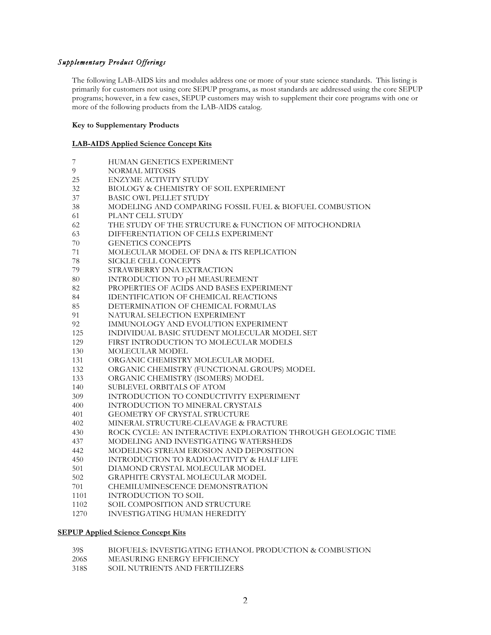## *Supplementary Product Offerings*

The following LAB-AIDS kits and modules address one or more of your state science standards. This listing is primarily for customers not using core SEPUP programs, as most standards are addressed using the core SEPUP programs; however, in a few cases, SEPUP customers may wish to supplement their core programs with one or more of the following products from the LAB-AIDS catalog.

### **Key to Supplementary Products**

### **LAB-AIDS Applied Science Concept Kits**

|  | HUMAN GENETICS EXPERIMENT |
|--|---------------------------|
|--|---------------------------|

- 9 NORMAL MITOSIS
- 25 ENZYME ACTIVITY STUDY
- 32 BIOLOGY & CHEMISTRY OF SOIL EXPERIMENT<br>37 BASIC OWL PELLET STUDY
- BASIC OWL PELLET STUDY
- 38 MODELING AND COMPARING FOSSIL FUEL & BIOFUEL COMBUSTION
- 61 PLANT CELL STUDY
- 62 THE STUDY OF THE STRUCTURE & FUNCTION OF MITOCHONDRIA<br>63 DIFFERENTIATION OF CELLS EXPERIMENT
- 63 DIFFERENTIATION OF CELLS EXPERIMENT
- 70 GENETICS CONCEPTS
- 71 MOLECULAR MODEL OF DNA & ITS REPLICATION
- 78 SICKLE CELL CONCEPTS<br>79 STRAWBERRY DNA EXTR
- STRAWBERRY DNA EXTRACTION
- 80 INTRODUCTION TO pH MEASUREMENT
- 82 PROPERTIES OF ACIDS AND BASES EXPERIMENT
- 84 IDENTIFICATION OF CHEMICAL REACTIONS
- 85 DETERMINATION OF CHEMICAL FORMULAS
- 91 NATURAL SELECTION EXPERIMENT
- 92 IMMUNOLOGY AND EVOLUTION EXPERIMENT
- 125 INDIVIDUAL BASIC STUDENT MOLECULAR MODEL SET
- 129 FIRST INTRODUCTION TO MOLECULAR MODELS
- 130 MOLECULAR MODEL
- 131 ORGANIC CHEMISTRY MOLECULAR MODEL
- 132 ORGANIC CHEMISTRY (FUNCTIONAL GROUPS) MODEL
- 133 ORGANIC CHEMISTRY (ISOMERS) MODEL
- 140 SUBLEVEL ORBITALS OF ATOM
- 309 INTRODUCTION TO CONDUCTIVITY EXPERIMENT<br>400 INTRODUCTION TO MINERAL CRYSTALS
- INTRODUCTION TO MINERAL CRYSTALS
- 401 GEOMETRY OF CRYSTAL STRUCTURE
- 402 MINERAL STRUCTURE-CLEAVAGE & FRACTURE
- 430 ROCK CYCLE: AN INTERACTIVE EXPLORATION THROUGH GEOLOGIC TIME
- 437 MODELING AND INVESTIGATING WATERSHEDS
- 442 MODELING STREAM EROSION AND DEPOSITION
- 450 INTRODUCTION TO RADIOACTIVITY & HALF LIFE
- 501 DIAMOND CRYSTAL MOLECULAR MODEL
- 502 GRAPHITE CRYSTAL MOLECULAR MODEL<br>701 CHEMILUMINESCENCE DEMONSTRATION
- CHEMILUMINESCENCE DEMONSTRATION
- 1101 INTRODUCTION TO SOIL
- 1102 SOIL COMPOSITION AND STRUCTURE<br>1270 INVESTIGATING HUMAN HEREDITY
- INVESTIGATING HUMAN HEREDITY

#### **SEPUP Applied Science Concept Kits**

- 39S BIOFUELS: INVESTIGATING ETHANOL PRODUCTION & COMBUSTION
- 206S MEASURING ENERGY EFFICIENCY<br>318S SOIL NUTRIENTS AND FERTILIZER
- SOIL NUTRIENTS AND FERTILIZERS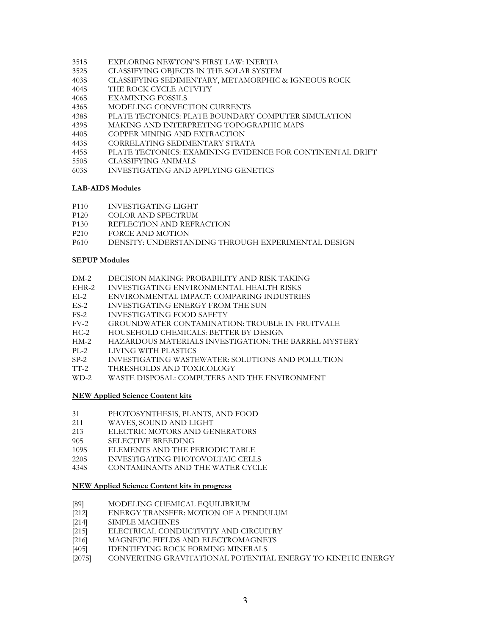- 351S EXPLORING NEWTON"S FIRST LAW: INERTIA<br>352S CLASSIFYING OBIECTS IN THE SOLAR SYSTEM
- CLASSIFYING OBJECTS IN THE SOLAR SYSTEM
- 403S CLASSIFYING SEDIMENTARY, METAMORPHIC & IGNEOUS ROCK
- 404S THE ROCK CYCLE ACTVITY
- 406S EXAMINING FOSSILS
- 436S MODELING CONVECTION CURRENTS
- 438S PLATE TECTONICS: PLATE BOUNDARY COMPUTER SIMULATION
- 439S MAKING AND INTERPRETING TOPOGRAPHIC MAPS
- 440S COPPER MINING AND EXTRACTION
- 443S CORRELATING SEDIMENTARY STRATA
- 445S PLATE TECTONICS: EXAMINING EVIDENCE FOR CONTINENTAL DRIFT
- 550S CLASSIFYING ANIMALS
- 603S INVESTIGATING AND APPLYING GENETICS

#### **LAB-AIDS Modules**

- P110 INVESTIGATING LIGHT
- P120 COLOR AND SPECTRUM
- P130 REFLECTION AND REFRACTION<br>P210 FORCE AND MOTION
- P210 FORCE AND MOTION<br>P610 DENSITY UNDERSTAL
- DENSITY: UNDERSTANDING THROUGH EXPERIMENTAL DESIGN

### **SEPUP Modules**

- DM-2 DECISION MAKING: PROBABILITY AND RISK TAKING
- EHR-2 INVESTIGATING ENVIRONMENTAL HEALTH RISKS
- EI-2 ENVIRONMENTAL IMPACT: COMPARING INDUSTRIES<br>ES-2 INVESTIGATING ENERGY FROM THE SUN
- ES-2 INVESTIGATING ENERGY FROM THE SUN<br>FS-2 INVESTIGATING FOOD SAFETY
- FS-2 INVESTIGATING FOOD SAFETY<br>FV-2 GROUNDWATER CONTAMINAT
- GROUNDWATER CONTAMINATION: TROUBLE IN FRUITVALE
- HC-2 HOUSEHOLD CHEMICALS: BETTER BY DESIGN
- HM-2 HAZARDOUS MATERIALS INVESTIGATION: THE BARREL MYSTERY<br>PL-2 LIVING WITH PLASTICS
- LIVING WITH PLASTICS
- SP-2 INVESTIGATING WASTEWATER: SOLUTIONS AND POLLUTION
- TT-2 THRESHOLDS AND TOXICOLOGY
- WD-2 WASTE DISPOSAL: COMPUTERS AND THE ENVIRONMENT

#### **NEW Applied Science Content kits**

- 31 PHOTOSYNTHESIS, PLANTS, AND FOOD
- 211 WAVES, SOUND AND LIGHT
- 213 ELECTRIC MOTORS AND GENERATORS
- 905 SELECTIVE BREEDING<br>109S ELEMENTS AND THE P
- ELEMENTS AND THE PERIODIC TABLE
- 220S INVESTIGATING PHOTOVOLTAIC CELLS
- 434S CONTAMINANTS AND THE WATER CYCLE

### **NEW Applied Science Content kits in progress**

- [89] MODELING CHEMICAL EQUILIBRIUM
- [212] ENERGY TRANSFER: MOTION OF A PENDULUM
- [214] SIMPLE MACHINES
- [215] ELECTRICAL CONDUCTIVITY AND CIRCUITRY
- [216] MAGNETIC FIELDS AND ELECTROMAGNETS<br>[405] IDENTIFYING ROCK FORMING MINERALS
- IDENTIFYING ROCK FORMING MINERALS
- [207S] CONVERTING GRAVITATIONAL POTENTIAL ENERGY TO KINETIC ENERGY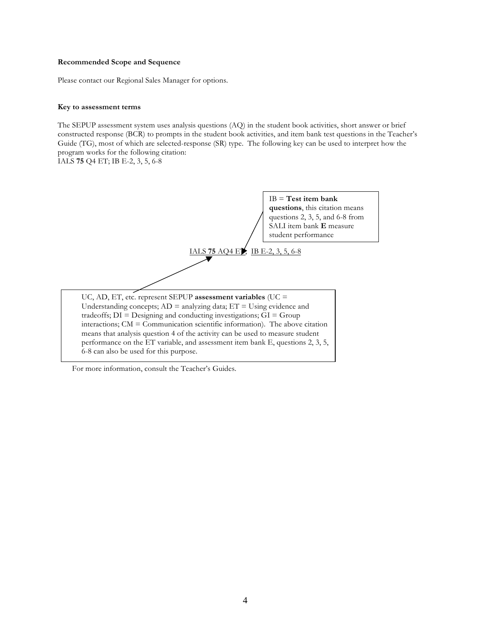### **Recommended Scope and Sequence**

Please contact our Regional Sales Manager for options.

### **Key to assessment terms**

The SEPUP assessment system uses analysis questions (AQ) in the student book activities, short answer or brief constructed response (BCR) to prompts in the student book activities, and item bank test questions in the Teacher's Guide (TG), most of which are selected-response (SR) type. The following key can be used to interpret how the program works for the following citation:

IALS **75** Q4 ET; IB E-2, 3, 5, 6-8



For more information, consult the Teacher's Guides.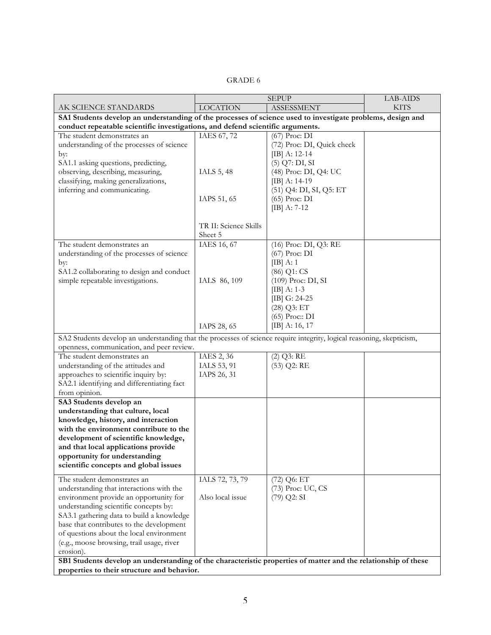# GRADE 6

|                                                                                                                       |                                                                                | <b>SEPUP</b>               | LAB-AIDS    |  |
|-----------------------------------------------------------------------------------------------------------------------|--------------------------------------------------------------------------------|----------------------------|-------------|--|
| AK SCIENCE STANDARDS                                                                                                  | <b>LOCATION</b>                                                                | <b>ASSESSMENT</b>          | <b>KITS</b> |  |
| SA1 Students develop an understanding of the processes of science used to investigate problems, design and            |                                                                                |                            |             |  |
|                                                                                                                       | conduct repeatable scientific investigations, and defend scientific arguments. |                            |             |  |
| The student demonstrates an                                                                                           | IAES 67, 72                                                                    | (67) Proc: DI              |             |  |
| understanding of the processes of science                                                                             |                                                                                | (72) Proc: DI, Quick check |             |  |
| by:                                                                                                                   |                                                                                | $[IB]$ A: 12-14            |             |  |
| SA1.1 asking questions, predicting,                                                                                   |                                                                                | $(5)$ Q7: DI, SI           |             |  |
| observing, describing, measuring,                                                                                     | IALS 5, 48                                                                     | (48) Proc: DI, Q4: UC      |             |  |
| classifying, making generalizations,                                                                                  |                                                                                | $[IB]$ A: 14-19            |             |  |
| inferring and communicating.                                                                                          |                                                                                | (51) Q4: DI, SI, Q5: ET    |             |  |
|                                                                                                                       | IAPS 51, 65                                                                    | (65) Proc: DI              |             |  |
|                                                                                                                       |                                                                                | $[IB]$ A: 7-12             |             |  |
|                                                                                                                       |                                                                                |                            |             |  |
|                                                                                                                       | TR II: Science Skills                                                          |                            |             |  |
|                                                                                                                       | Sheet 5                                                                        |                            |             |  |
| The student demonstrates an                                                                                           | IAES 16, 67                                                                    | (16) Proc: DI, Q3: RE      |             |  |
| understanding of the processes of science                                                                             |                                                                                | $(67)$ Proc: DI            |             |  |
| by:                                                                                                                   |                                                                                | $[IB]$ A: 1                |             |  |
| SA1.2 collaborating to design and conduct                                                                             |                                                                                | (86) Q1: CS                |             |  |
| simple repeatable investigations.                                                                                     | IALS 86, 109                                                                   | (109) Proc: DI, SI         |             |  |
|                                                                                                                       |                                                                                | $[IB]$ A: 1-3              |             |  |
|                                                                                                                       |                                                                                | [IB] G: 24-25              |             |  |
|                                                                                                                       |                                                                                | $(28)$ Q3: ET              |             |  |
|                                                                                                                       |                                                                                | (65) Proc:: DI             |             |  |
|                                                                                                                       | IAPS 28, 65                                                                    | $[IB]$ A: 16, 17           |             |  |
| SA2 Students develop an understanding that the processes of science require integrity, logical reasoning, skepticism, |                                                                                |                            |             |  |
| openness, communication, and peer review.                                                                             |                                                                                |                            |             |  |
| The student demonstrates an                                                                                           | IAES 2, 36                                                                     | $(2)$ Q3: RE               |             |  |
| understanding of the attitudes and                                                                                    | IALS 53, 91                                                                    | $(53)$ Q2: RE              |             |  |
| approaches to scientific inquiry by:                                                                                  | IAPS 26, 31                                                                    |                            |             |  |
| SA2.1 identifying and differentiating fact                                                                            |                                                                                |                            |             |  |
| from opinion.                                                                                                         |                                                                                |                            |             |  |
| SA3 Students develop an                                                                                               |                                                                                |                            |             |  |
| understanding that culture, local                                                                                     |                                                                                |                            |             |  |
| knowledge, history, and interaction                                                                                   |                                                                                |                            |             |  |
| with the environment contribute to the                                                                                |                                                                                |                            |             |  |
| development of scientific knowledge,                                                                                  |                                                                                |                            |             |  |
| and that local applications provide                                                                                   |                                                                                |                            |             |  |
| opportunity for understanding                                                                                         |                                                                                |                            |             |  |
| scientific concepts and global issues                                                                                 |                                                                                |                            |             |  |
| The student demonstrates an                                                                                           | IALS 72, 73, 79                                                                | (72) Q6: ET                |             |  |
| understanding that interactions with the                                                                              |                                                                                | (73) Proc: UC, CS          |             |  |
| environment provide an opportunity for                                                                                | Also local issue                                                               | $(79)$ Q2: SI              |             |  |
| understanding scientific concepts by:                                                                                 |                                                                                |                            |             |  |
| SA3.1 gathering data to build a knowledge                                                                             |                                                                                |                            |             |  |
| base that contributes to the development                                                                              |                                                                                |                            |             |  |
| of questions about the local environment                                                                              |                                                                                |                            |             |  |
| (e.g., moose browsing, trail usage, river                                                                             |                                                                                |                            |             |  |
| erosion).                                                                                                             |                                                                                |                            |             |  |
| SB1 Students develop an understanding of the characteristic properties of matter and the relationship of these        |                                                                                |                            |             |  |
| properties to their structure and behavior.                                                                           |                                                                                |                            |             |  |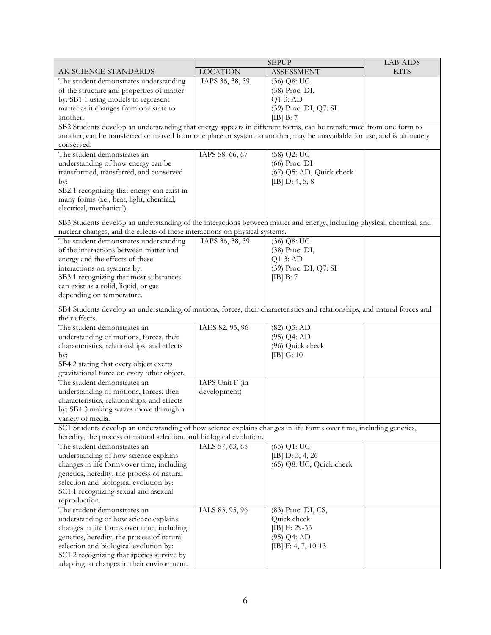|                                                                                                                           |                 | <b>SEPUP</b>             | <b>LAB-AIDS</b> |
|---------------------------------------------------------------------------------------------------------------------------|-----------------|--------------------------|-----------------|
| AK SCIENCE STANDARDS                                                                                                      | <b>LOCATION</b> | <b>ASSESSMENT</b>        | <b>KITS</b>     |
| The student demonstrates understanding                                                                                    | IAPS 36, 38, 39 | $(36)$ Q8: UC            |                 |
| of the structure and properties of matter                                                                                 |                 | (38) Proc: DI,           |                 |
| by: SB1.1 using models to represent                                                                                       |                 | $Q1-3$ : AD              |                 |
| matter as it changes from one state to                                                                                    |                 | (39) Proc: DI, Q7: SI    |                 |
| another.                                                                                                                  |                 | [IB] B: 7                |                 |
| SB2 Students develop an understanding that energy appears in different forms, can be transformed from one form to         |                 |                          |                 |
| another, can be transferred or moved from one place or system to another, may be unavailable for use, and is ultimately   |                 |                          |                 |
| conserved.                                                                                                                |                 |                          |                 |
| The student demonstrates an                                                                                               | IAPS 58, 66, 67 | $(58)$ Q2: UC            |                 |
| understanding of how energy can be                                                                                        |                 | (66) Proc: DI            |                 |
| transformed, transferred, and conserved                                                                                   |                 | (67) Q5: AD, Quick check |                 |
| by:                                                                                                                       |                 | [IB] $D: 4, 5, 8$        |                 |
| SB2.1 recognizing that energy can exist in                                                                                |                 |                          |                 |
| many forms (i.e., heat, light, chemical,                                                                                  |                 |                          |                 |
| electrical, mechanical).                                                                                                  |                 |                          |                 |
| SB3 Students develop an understanding of the interactions between matter and energy, including physical, chemical, and    |                 |                          |                 |
| nuclear changes, and the effects of these interactions on physical systems.                                               |                 |                          |                 |
| The student demonstrates understanding                                                                                    | IAPS 36, 38, 39 | (36) Q8: UC              |                 |
| of the interactions between matter and                                                                                    |                 | (38) Proc: DI,           |                 |
| energy and the effects of these                                                                                           |                 | $Q1-3$ : AD              |                 |
| interactions on systems by:                                                                                               |                 | (39) Proc: DI, Q7: SI    |                 |
| SB3.1 recognizing that most substances                                                                                    |                 | $[IB]$ B: 7              |                 |
| can exist as a solid, liquid, or gas                                                                                      |                 |                          |                 |
| depending on temperature.                                                                                                 |                 |                          |                 |
|                                                                                                                           |                 |                          |                 |
| SB4 Students develop an understanding of motions, forces, their characteristics and relationships, and natural forces and |                 |                          |                 |
| their effects.                                                                                                            |                 |                          |                 |
| The student demonstrates an                                                                                               | IAES 82, 95, 96 | $(82)$ Q3: AD            |                 |
| understanding of motions, forces, their                                                                                   |                 | $(95)$ Q4: AD            |                 |
| characteristics, relationships, and effects                                                                               |                 | (96) Quick check         |                 |
| by:                                                                                                                       |                 | $[IB]$ G: 10             |                 |
| SB4.2 stating that every object exerts                                                                                    |                 |                          |                 |
| gravitational force on every other object.                                                                                |                 |                          |                 |
| The student demonstrates an                                                                                               | IAPS Unit F (in |                          |                 |
| understanding of motions, forces, their                                                                                   | development)    |                          |                 |
| characteristics, relationships, and effects                                                                               |                 |                          |                 |
| by: SB4.3 making waves move through a                                                                                     |                 |                          |                 |
| variety of media.                                                                                                         |                 |                          |                 |
| SC1 Students develop an understanding of how science explains changes in life forms over time, including genetics,        |                 |                          |                 |
| heredity, the process of natural selection, and biological evolution.<br>The student demonstrates an                      |                 |                          |                 |
|                                                                                                                           | IALS 57, 63, 65 | (63) Q1: UC              |                 |
| understanding of how science explains                                                                                     |                 | [IB] $D: 3, 4, 26$       |                 |
| changes in life forms over time, including                                                                                |                 | (65) Q8: UC, Quick check |                 |
| genetics, heredity, the process of natural                                                                                |                 |                          |                 |
| selection and biological evolution by:                                                                                    |                 |                          |                 |
| SC1.1 recognizing sexual and asexual<br>reproduction.                                                                     |                 |                          |                 |
| The student demonstrates an                                                                                               | IALS 83, 95, 96 | (83) Proc: DI, CS,       |                 |
|                                                                                                                           |                 |                          |                 |
| understanding of how science explains                                                                                     |                 | Quick check              |                 |
| changes in life forms over time, including                                                                                |                 | [IB] E: 29-33            |                 |
| genetics, heredity, the process of natural                                                                                |                 | $(95)$ Q4: AD            |                 |
| selection and biological evolution by:<br>SC1.2 recognizing that species survive by                                       |                 | [IB] $F: 4, 7, 10-13$    |                 |
|                                                                                                                           |                 |                          |                 |
| adapting to changes in their environment.                                                                                 |                 |                          |                 |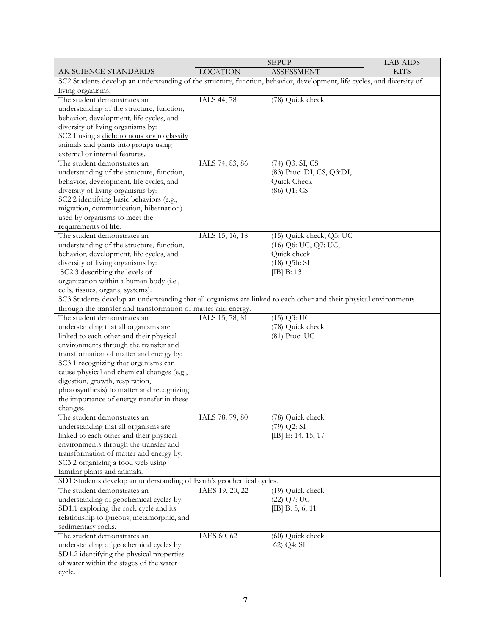|                                                                                                                        |                 | <b>SEPUP</b>              | LAB-AIDS    |
|------------------------------------------------------------------------------------------------------------------------|-----------------|---------------------------|-------------|
| AK SCIENCE STANDARDS                                                                                                   | <b>LOCATION</b> | <b>ASSESSMENT</b>         | <b>KITS</b> |
| SC2 Students develop an understanding of the structure, function, behavior, development, life cycles, and diversity of |                 |                           |             |
| living organisms.                                                                                                      |                 |                           |             |
| The student demonstrates an                                                                                            | IALS 44, 78     | (78) Quick check          |             |
| understanding of the structure, function,                                                                              |                 |                           |             |
| behavior, development, life cycles, and                                                                                |                 |                           |             |
| diversity of living organisms by:                                                                                      |                 |                           |             |
| SC2.1 using a dichotomous key to classify                                                                              |                 |                           |             |
| animals and plants into groups using                                                                                   |                 |                           |             |
| external or internal features.                                                                                         |                 |                           |             |
| The student demonstrates an                                                                                            | IALS 74, 83, 86 | (74) Q3: SI, CS           |             |
| understanding of the structure, function,                                                                              |                 | (83) Proc: DI, CS, Q3:DI, |             |
| behavior, development, life cycles, and                                                                                |                 | Quick Check               |             |
| diversity of living organisms by:                                                                                      |                 | (86) Q1: CS               |             |
| SC2.2 identifying basic behaviors (e.g.,                                                                               |                 |                           |             |
| migration, communication, hibernation)                                                                                 |                 |                           |             |
| used by organisms to meet the                                                                                          |                 |                           |             |
| requirements of life.                                                                                                  |                 |                           |             |
| The student demonstrates an                                                                                            | IALS 15, 16, 18 | (15) Quick check, Q3: UC  |             |
| understanding of the structure, function,                                                                              |                 | (16) Q6: UC, Q7: UC,      |             |
| behavior, development, life cycles, and                                                                                |                 | Quick check               |             |
| diversity of living organisms by:                                                                                      |                 | $(18)$ Q5b: SI            |             |
| SC2.3 describing the levels of                                                                                         |                 | $[IB]$ B: 13              |             |
| organization within a human body (i.e.,                                                                                |                 |                           |             |
| cells, tissues, organs, systems).                                                                                      |                 |                           |             |
| SC3 Students develop an understanding that all organisms are linked to each other and their physical environments      |                 |                           |             |
| through the transfer and transformation of matter and energy.                                                          |                 |                           |             |
| The student demonstrates an                                                                                            | IALS 15, 78, 81 | $(15)$ Q3: UC             |             |
| understanding that all organisms are                                                                                   |                 | (78) Quick check          |             |
| linked to each other and their physical                                                                                |                 | (81) Proc: UC             |             |
| environments through the transfer and                                                                                  |                 |                           |             |
| transformation of matter and energy by:                                                                                |                 |                           |             |
| SC3.1 recognizing that organisms can                                                                                   |                 |                           |             |
| cause physical and chemical changes (e.g.,                                                                             |                 |                           |             |
| digestion, growth, respiration,                                                                                        |                 |                           |             |
| photosynthesis) to matter and recognizing                                                                              |                 |                           |             |
| the importance of energy transfer in these                                                                             |                 |                           |             |
| changes.                                                                                                               |                 |                           |             |
| The student demonstrates an                                                                                            | IALS 78, 79, 80 | (78) Quick check          |             |
| understanding that all organisms are                                                                                   |                 | $(79)$ Q2: SI             |             |
| linked to each other and their physical                                                                                |                 | [IB] E: 14, 15, 17        |             |
| environments through the transfer and                                                                                  |                 |                           |             |
| transformation of matter and energy by:                                                                                |                 |                           |             |
| SC3.2 organizing a food web using                                                                                      |                 |                           |             |
| familiar plants and animals.                                                                                           |                 |                           |             |
| SD1 Students develop an understanding of Earth's geochemical cycles.                                                   |                 |                           |             |
| The student demonstrates an                                                                                            | IAES 19, 20, 22 | (19) Quick check          |             |
| understanding of geochemical cycles by:                                                                                |                 | (22) Q7: UC               |             |
| SD1.1 exploring the rock cycle and its                                                                                 |                 | [IB] $B: 5, 6, 11$        |             |
| relationship to igneous, metamorphic, and                                                                              |                 |                           |             |
| sedimentary rocks.                                                                                                     |                 |                           |             |
| The student demonstrates an                                                                                            | IAES 60, 62     | (60) Quick check          |             |
| understanding of geochemical cycles by:                                                                                |                 | 62) Q4: SI                |             |
| SD1.2 identifying the physical properties                                                                              |                 |                           |             |
| of water within the stages of the water                                                                                |                 |                           |             |
| cycle.                                                                                                                 |                 |                           |             |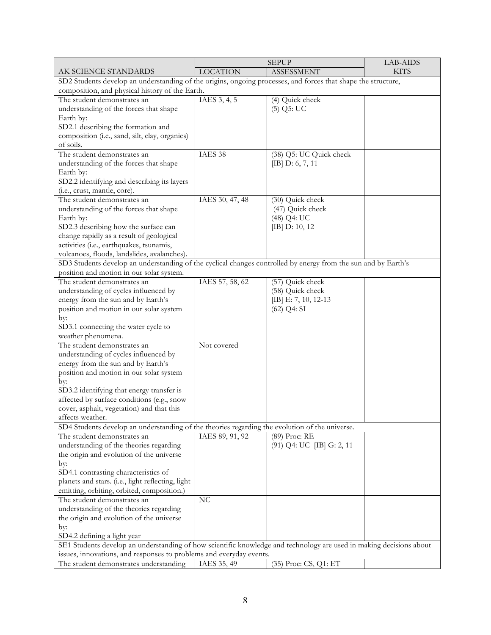|                                                                                                                     |                 | <b>SEPUP</b>              | LAB-AIDS    |
|---------------------------------------------------------------------------------------------------------------------|-----------------|---------------------------|-------------|
| AK SCIENCE STANDARDS                                                                                                | <b>LOCATION</b> | <b>ASSESSMENT</b>         | <b>KITS</b> |
| SD2 Students develop an understanding of the origins, ongoing processes, and forces that shape the structure,       |                 |                           |             |
| composition, and physical history of the Earth.                                                                     |                 |                           |             |
| The student demonstrates an                                                                                         | IAES $3, 4, 5$  | (4) Quick check           |             |
| understanding of the forces that shape                                                                              |                 | $(5)$ Q5: UC              |             |
| Earth by:                                                                                                           |                 |                           |             |
| SD2.1 describing the formation and                                                                                  |                 |                           |             |
| composition (i.e., sand, silt, clay, organics)                                                                      |                 |                           |             |
| of soils.                                                                                                           |                 |                           |             |
| The student demonstrates an                                                                                         | IAES 38         | (38) Q5: UC Quick check   |             |
| understanding of the forces that shape                                                                              |                 | [IB] $D: 6, 7, 11$        |             |
| Earth by:                                                                                                           |                 |                           |             |
| SD2.2 identifying and describing its layers                                                                         |                 |                           |             |
| (i.e., crust, mantle, core).                                                                                        |                 |                           |             |
| The student demonstrates an                                                                                         | IAES 30, 47, 48 | (30) Quick check          |             |
| understanding of the forces that shape                                                                              |                 | (47) Quick check          |             |
| Earth by:                                                                                                           |                 | (48) Q4: UC               |             |
| SD2.3 describing how the surface can                                                                                |                 | [IB] D: 10, 12            |             |
| change rapidly as a result of geological                                                                            |                 |                           |             |
| activities (i.e., earthquakes, tsunamis,                                                                            |                 |                           |             |
| volcanoes, floods, landslides, avalanches).                                                                         |                 |                           |             |
| SD3 Students develop an understanding of the cyclical changes controlled by energy from the sun and by Earth's      |                 |                           |             |
| position and motion in our solar system.                                                                            |                 |                           |             |
| The student demonstrates an                                                                                         | IAES 57, 58, 62 | (57) Quick check          |             |
| understanding of cycles influenced by                                                                               |                 | (58) Quick check          |             |
| energy from the sun and by Earth's                                                                                  |                 | [IB] E: 7, 10, 12-13      |             |
| position and motion in our solar system                                                                             |                 | $(62)$ Q4: SI             |             |
| by:                                                                                                                 |                 |                           |             |
| SD3.1 connecting the water cycle to                                                                                 |                 |                           |             |
| weather phenomena.                                                                                                  |                 |                           |             |
| The student demonstrates an                                                                                         | Not covered     |                           |             |
| understanding of cycles influenced by                                                                               |                 |                           |             |
| energy from the sun and by Earth's                                                                                  |                 |                           |             |
| position and motion in our solar system                                                                             |                 |                           |             |
| by:                                                                                                                 |                 |                           |             |
| SD3.2 identifying that energy transfer is                                                                           |                 |                           |             |
| affected by surface conditions (e.g., snow                                                                          |                 |                           |             |
| cover, asphalt, vegetation) and that this                                                                           |                 |                           |             |
| affects weather.                                                                                                    |                 |                           |             |
| SD4 Students develop an understanding of the theories regarding the evolution of the universe.                      |                 |                           |             |
| The student demonstrates an                                                                                         | IAES 89, 91, 92 | (89) Proc: RE             |             |
| understanding of the theories regarding                                                                             |                 | (91) Q4: UC [IB] G: 2, 11 |             |
| the origin and evolution of the universe                                                                            |                 |                           |             |
| by:                                                                                                                 |                 |                           |             |
| SD4.1 contrasting characteristics of                                                                                |                 |                           |             |
| planets and stars. (i.e., light reflecting, light                                                                   |                 |                           |             |
| emitting, orbiting, orbited, composition.)                                                                          |                 |                           |             |
| The student demonstrates an                                                                                         | NC              |                           |             |
| understanding of the theories regarding                                                                             |                 |                           |             |
| the origin and evolution of the universe                                                                            |                 |                           |             |
| by:                                                                                                                 |                 |                           |             |
| SD4.2 defining a light year                                                                                         |                 |                           |             |
| SE1 Students develop an understanding of how scientific knowledge and technology are used in making decisions about |                 |                           |             |
| issues, innovations, and responses to problems and everyday events.                                                 |                 |                           |             |
| The student demonstrates understanding                                                                              | IAES 35, 49     | (35) Proc: CS, Q1: ET     |             |
|                                                                                                                     |                 |                           |             |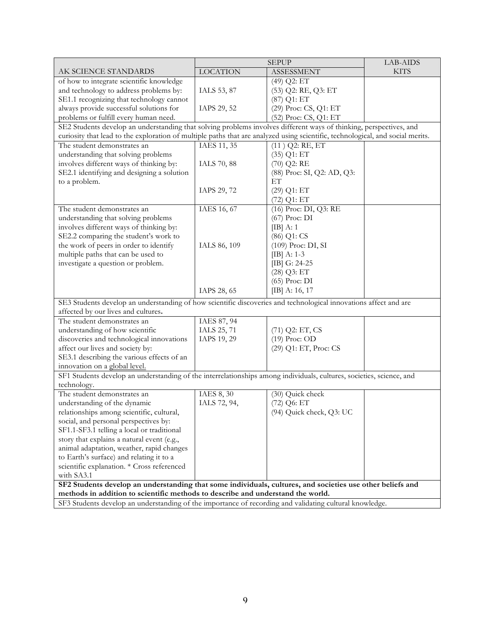|                                                                                                                                |                 | <b>SEPUP</b>               | LAB-AIDS    |
|--------------------------------------------------------------------------------------------------------------------------------|-----------------|----------------------------|-------------|
| AK SCIENCE STANDARDS                                                                                                           | <b>LOCATION</b> | <b>ASSESSMENT</b>          | <b>KITS</b> |
| of how to integrate scientific knowledge                                                                                       |                 | (49) Q2: ET                |             |
| and technology to address problems by:                                                                                         | IALS 53, 87     | (53) Q2: RE, Q3: ET        |             |
| SE1.1 recognizing that technology cannot                                                                                       |                 | (87) Q1: ET                |             |
| always provide successful solutions for                                                                                        | IAPS 29, 52     | (29) Proc: CS, Q1: ET      |             |
| problems or fulfill every human need.                                                                                          |                 | (52) Proc: CS, Q1: ET      |             |
| SE2 Students develop an understanding that solving problems involves different ways of thinking, perspectives, and             |                 |                            |             |
| curiosity that lead to the exploration of multiple paths that are analyzed using scientific, technological, and social merits. |                 |                            |             |
| The student demonstrates an                                                                                                    | IAES 11, 35     | $(11)$ Q2: RE, ET          |             |
| understanding that solving problems                                                                                            |                 | $(35)$ Q1: ET              |             |
| involves different ways of thinking by:                                                                                        | IALS 70, 88     | $(70)$ Q2: RE              |             |
| SE2.1 identifying and designing a solution                                                                                     |                 | (88) Proc: SI, Q2: AD, Q3: |             |
| to a problem.                                                                                                                  |                 | ET                         |             |
|                                                                                                                                | IAPS 29, 72     | $(29)$ Q1: ET              |             |
|                                                                                                                                |                 | $(72)$ Q1: ET              |             |
| The student demonstrates an                                                                                                    | IAES 16, 67     | (16) Proc: DI, Q3: RE      |             |
| understanding that solving problems                                                                                            |                 | (67) Proc: DI              |             |
| involves different ways of thinking by:                                                                                        |                 | $[IB]$ A: 1                |             |
| SE2.2 comparing the student's work to                                                                                          |                 | (86) Q1: CS                |             |
| the work of peers in order to identify                                                                                         | IALS 86, 109    | (109) Proc: DI, SI         |             |
| multiple paths that can be used to                                                                                             |                 | $[IB]$ A: 1-3              |             |
| investigate a question or problem.                                                                                             |                 | [IB] G: 24-25              |             |
|                                                                                                                                |                 | $(28)$ Q3: ET              |             |
|                                                                                                                                |                 | $(65)$ Proc: DI            |             |
|                                                                                                                                | IAPS 28, 65     | [IB] A: $16, 17$           |             |
| SE3 Students develop an understanding of how scientific discoveries and technological innovations affect and are               |                 |                            |             |
| affected by our lives and cultures.                                                                                            |                 |                            |             |
| The student demonstrates an                                                                                                    | IAES 87, 94     |                            |             |
| understanding of how scientific                                                                                                | IALS 25, 71     | $(71)$ Q2: ET, CS          |             |
| discoveries and technological innovations                                                                                      | IAPS 19, 29     | $(19)$ Proc: OD            |             |
| affect our lives and society by:                                                                                               |                 | (29) Q1: ET, Proc: CS      |             |
| SE3.1 describing the various effects of an                                                                                     |                 |                            |             |
| innovation on a global level.                                                                                                  |                 |                            |             |
| SF1 Students develop an understanding of the interrelationships among individuals, cultures, societies, science, and           |                 |                            |             |
| technology.                                                                                                                    |                 |                            |             |
| The student demonstrates an                                                                                                    | IAES 8, 30      | (30) Quick check           |             |
| understanding of the dynamic                                                                                                   | IALS 72, 94,    | (72) Q6: ET                |             |
| relationships among scientific, cultural,                                                                                      |                 | (94) Quick check, Q3: UC   |             |
| social, and personal perspectives by:                                                                                          |                 |                            |             |
| SF1.1-SF3.1 telling a local or traditional                                                                                     |                 |                            |             |
| story that explains a natural event (e.g.,                                                                                     |                 |                            |             |
| animal adaptation, weather, rapid changes                                                                                      |                 |                            |             |
| to Earth's surface) and relating it to a                                                                                       |                 |                            |             |
| scientific explanation. * Cross referenced                                                                                     |                 |                            |             |
| with SA3.1                                                                                                                     |                 |                            |             |
| SF2 Students develop an understanding that some individuals, cultures, and societies use other beliefs and                     |                 |                            |             |
| methods in addition to scientific methods to describe and understand the world.                                                |                 |                            |             |
| SF3 Students develop an understanding of the importance of recording and validating cultural knowledge.                        |                 |                            |             |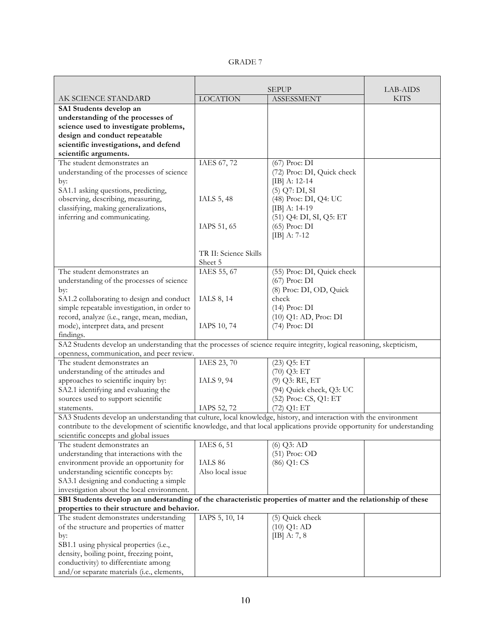| v<br>v. |  |
|---------|--|
|---------|--|

|                                                                                                                          | <b>SEPUP</b>          |                            | LAB-AIDS    |
|--------------------------------------------------------------------------------------------------------------------------|-----------------------|----------------------------|-------------|
| AK SCIENCE STANDARD                                                                                                      | <b>LOCATION</b>       | <b>ASSESSMENT</b>          | <b>KITS</b> |
| SA1 Students develop an                                                                                                  |                       |                            |             |
| understanding of the processes of                                                                                        |                       |                            |             |
| science used to investigate problems,                                                                                    |                       |                            |             |
| design and conduct repeatable                                                                                            |                       |                            |             |
| scientific investigations, and defend                                                                                    |                       |                            |             |
| scientific arguments.                                                                                                    |                       |                            |             |
| The student demonstrates an                                                                                              | IAES 67, 72           | (67) Proc: DI              |             |
| understanding of the processes of science                                                                                |                       | (72) Proc: DI, Quick check |             |
| by:                                                                                                                      |                       | $[IB]$ A: 12-14            |             |
| SA1.1 asking questions, predicting,                                                                                      |                       | $(5)$ Q7: DI, SI           |             |
| observing, describing, measuring,                                                                                        | IALS 5, 48            | (48) Proc: DI, Q4: UC      |             |
| classifying, making generalizations,                                                                                     |                       | $[IB]$ A: 14-19            |             |
| inferring and communicating.                                                                                             |                       | (51) Q4: DI, SI, Q5: ET    |             |
|                                                                                                                          | IAPS 51, 65           | $(65)$ Proc: DI            |             |
|                                                                                                                          |                       | $[IB]$ A: 7-12             |             |
|                                                                                                                          |                       |                            |             |
|                                                                                                                          | TR II: Science Skills |                            |             |
|                                                                                                                          | Sheet 5               |                            |             |
| The student demonstrates an                                                                                              | IAES 55, 67           | (55) Proc: DI, Quick check |             |
| understanding of the processes of science                                                                                |                       | $(67)$ Proc: DI            |             |
| by:                                                                                                                      |                       | (8) Proc: DI, OD, Quick    |             |
| SA1.2 collaborating to design and conduct                                                                                | IALS 8, 14            | check                      |             |
| simple repeatable investigation, in order to                                                                             |                       | $(14)$ Proc: DI            |             |
| record, analyze (i.e., range, mean, median,                                                                              |                       | (10) Q1: AD, Proc: DI      |             |
| mode), interpret data, and present                                                                                       | IAPS 10, 74           | $(74)$ Proc: DI            |             |
| findings.                                                                                                                |                       |                            |             |
| SA2 Students develop an understanding that the processes of science require integrity, logical reasoning, skepticism,    |                       |                            |             |
| openness, communication, and peer review.                                                                                |                       |                            |             |
| The student demonstrates an                                                                                              | IAES 23, 70           | $(23)$ Q5: ET              |             |
| understanding of the attitudes and                                                                                       |                       | $(70)$ Q3: ET              |             |
| approaches to scientific inquiry by:                                                                                     | IALS 9, 94            | (9) Q3: RE, ET             |             |
| SA2.1 identifying and evaluating the                                                                                     |                       | (94) Quick check, Q3: UC   |             |
| sources used to support scientific                                                                                       |                       | (52) Proc: CS, Q1: ET      |             |
| statements.                                                                                                              | IAPS 52, 72           | (72) Q1: ET                |             |
| SA3 Students develop an understanding that culture, local knowledge, history, and interaction with the environment       |                       |                            |             |
| contribute to the development of scientific knowledge, and that local applications provide opportunity for understanding |                       |                            |             |
| scientific concepts and global issues                                                                                    |                       |                            |             |
| The student demonstrates an                                                                                              | IAES 6, 51            | $(6)$ Q3: AD               |             |
| understanding that interactions with the                                                                                 |                       | $(51)$ Proc: OD            |             |
| environment provide an opportunity for                                                                                   | IALS 86               | (86) Q1: CS                |             |
| understanding scientific concepts by:                                                                                    | Also local issue      |                            |             |
| SA3.1 designing and conducting a simple                                                                                  |                       |                            |             |
| investigation about the local environment.                                                                               |                       |                            |             |
| SB1 Students develop an understanding of the characteristic properties of matter and the relationship of these           |                       |                            |             |
| properties to their structure and behavior.                                                                              |                       |                            |             |
| The student demonstrates understanding                                                                                   | IAPS 5, 10, 14        | (5) Quick check            |             |
| of the structure and properties of matter                                                                                |                       | $(10)$ Q1: AD              |             |
| by:                                                                                                                      |                       | $[IB]$ A: 7, 8             |             |
| SB1.1 using physical properties (i.e.,                                                                                   |                       |                            |             |
| density, boiling point, freezing point,                                                                                  |                       |                            |             |
| conductivity) to differentiate among                                                                                     |                       |                            |             |
| and/or separate materials (i.e., elements,                                                                               |                       |                            |             |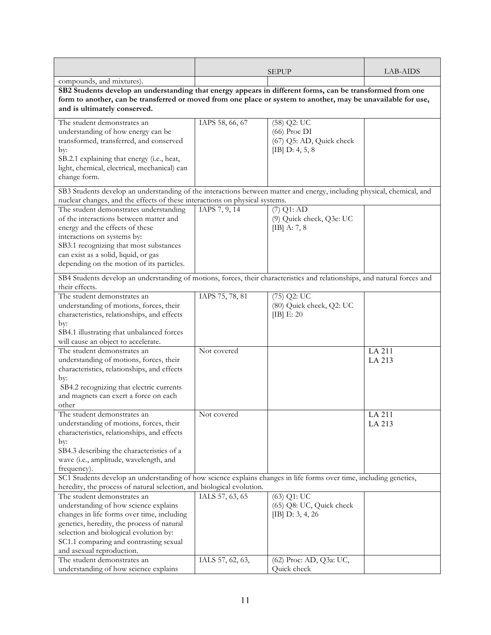|                                                                                                                                                                                                                                                                                   |                  | <b>SEPUP</b>                                                                     | LAB-AIDS         |
|-----------------------------------------------------------------------------------------------------------------------------------------------------------------------------------------------------------------------------------------------------------------------------------|------------------|----------------------------------------------------------------------------------|------------------|
| compounds, and mixtures).                                                                                                                                                                                                                                                         |                  |                                                                                  |                  |
| SB2 Students develop an understanding that energy appears in different forms, can be transformed from one<br>form to another, can be transferred or moved from one place or system to another, may be unavailable for use,<br>and is ultimately conserved.                        |                  |                                                                                  |                  |
| The student demonstrates an<br>understanding of how energy can be<br>transformed, transferred, and conserved<br>by:<br>SB.2.1 explaining that energy (i.e., heat,<br>light, chemical, electrical, mechanical) can<br>change form.                                                 | IAPS 58, 66, 67  | $(58)$ Q2: UC<br>$(66)$ Proc DI<br>(67) Q5: AD, Quick check<br>[IB] $D: 4, 5, 8$ |                  |
| SB3 Students develop an understanding of the interactions between matter and energy, including physical, chemical, and<br>nuclear changes, and the effects of these interactions on physical systems.                                                                             |                  |                                                                                  |                  |
| The student demonstrates understanding<br>of the interactions between matter and<br>energy and the effects of these<br>interactions on systems by:<br>SB3.1 recognizing that most substances<br>can exist as a solid, liquid, or gas<br>depending on the motion of its particles. | IAPS 7, 9, 14    | $(7)$ Q1: $\overline{AD}$<br>(9) Quick check, Q3e: UC<br>[IB] A: 7, 8            |                  |
| SB4 Students develop an understanding of motions, forces, their characteristics and relationships, and natural forces and<br>their effects.                                                                                                                                       |                  |                                                                                  |                  |
| The student demonstrates an<br>understanding of motions, forces, their<br>characteristics, relationships, and effects<br>by:<br>SB4.1 illustrating that unbalanced forces<br>will cause an object to accelerate.                                                                  | IAPS 75, 78, 81  | $(75)$ Q2: UC<br>(80) Quick check, Q2: UC<br>[IB] $E: 20$                        |                  |
| The student demonstrates an<br>understanding of motions, forces, their<br>characteristics, relationships, and effects<br>by:<br>SB4.2 recognizing that electric currents<br>and magnets can exert a force on each<br>other                                                        | Not covered      |                                                                                  | LA 211<br>LA 213 |
| The student demonstrates an<br>understanding of motions, forces, their<br>characteristics, relationships, and effects<br>by:<br>SB4.3 describing the characteristics of a<br>wave (i.e., amplitude, wavelength, and<br>frequency).                                                | Not covered      |                                                                                  | LA 211<br>LA 213 |
| SC1 Students develop an understanding of how science explains changes in life forms over time, including genetics,<br>heredity, the process of natural selection, and biological evolution.                                                                                       |                  |                                                                                  |                  |
| The student demonstrates an<br>understanding of how science explains<br>changes in life forms over time, including<br>genetics, heredity, the process of natural<br>selection and biological evolution by:<br>SC1.1 comparing and contrasting sexual<br>and asexual reproduction. | IALS 57, 63, 65  | $(63)$ Q1: UC<br>(65) Q8: UC, Quick check<br>[IB] $D: 3, 4, 26$                  |                  |
| The student demonstrates an<br>understanding of how science explains                                                                                                                                                                                                              | IALS 57, 62, 63, | (62) Proc: AD, Q3a: UC,<br>Quick check                                           |                  |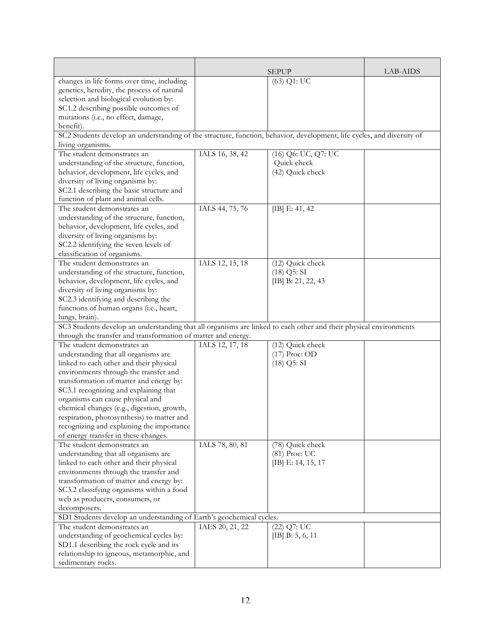|                                                                                                                        |                 | <b>SEPUP</b>        | LAB-AIDS |
|------------------------------------------------------------------------------------------------------------------------|-----------------|---------------------|----------|
| changes in life forms over time, including                                                                             |                 | $(63)$ Q1: UC       |          |
| genetics, heredity, the process of natural                                                                             |                 |                     |          |
| selection and biological evolution by:                                                                                 |                 |                     |          |
| SC1.2 describing possible outcomes of                                                                                  |                 |                     |          |
| mutations (i.e., no effect, damage,                                                                                    |                 |                     |          |
| benefit).                                                                                                              |                 |                     |          |
| SC2 Students develop an understanding of the structure, function, behavior, development, life cycles, and diversity of |                 |                     |          |
| living organisms.                                                                                                      |                 |                     |          |
| The student demonstrates an                                                                                            | IALS 16, 38, 42 | (16) Q6: UC, Q7: UC |          |
| understanding of the structure, function,                                                                              |                 | Quick check         |          |
| behavior, development, life cycles, and                                                                                |                 | (42) Quick check    |          |
| diversity of living organisms by:                                                                                      |                 |                     |          |
| SC2.1 describing the basic structure and                                                                               |                 |                     |          |
| function of plant and animal cells.                                                                                    |                 |                     |          |
| The student demonstrates an                                                                                            | IALS 44, 75, 76 | [IB] $E: 41, 42$    |          |
| understanding of the structure, function,                                                                              |                 |                     |          |
| behavior, development, life cycles, and                                                                                |                 |                     |          |
| diversity of living organisms by:                                                                                      |                 |                     |          |
| SC2.2 identifying the seven levels of                                                                                  |                 |                     |          |
| classification of organisms.                                                                                           |                 |                     |          |
| The student demonstrates an                                                                                            | IALS 12, 15, 18 | $(12)$ Quick check  |          |
| understanding of the structure, function,                                                                              |                 | $(18)$ Q5: SI       |          |
| behavior, development, life cycles, and                                                                                |                 | [IB] B: 21, 22, 43  |          |
| diversity of living organisms by:                                                                                      |                 |                     |          |
| SC2.3 identifying and describing the                                                                                   |                 |                     |          |
| functions of human organs (i.e., heart,                                                                                |                 |                     |          |
| lungs, brain).                                                                                                         |                 |                     |          |
| SC3 Students develop an understanding that all organisms are linked to each other and their physical environments      |                 |                     |          |
| through the transfer and transformation of matter and energy.                                                          |                 |                     |          |
| The student demonstrates an                                                                                            | IALS 12, 17, 18 | (12) Quick check    |          |
| understanding that all organisms are                                                                                   |                 | $(17)$ Proc: OD     |          |
| linked to each other and their physical                                                                                |                 | $(18)$ Q5: SI       |          |
| environments through the transfer and                                                                                  |                 |                     |          |
| transformation of matter and energy by:                                                                                |                 |                     |          |
| SC3.1 recognizing and explaining that                                                                                  |                 |                     |          |
| organisms can cause physical and                                                                                       |                 |                     |          |
| chemical changes (e.g., digestion, growth,                                                                             |                 |                     |          |
| respiration, photosynthesis) to matter and                                                                             |                 |                     |          |
| recognizing and explaining the importance                                                                              |                 |                     |          |
| of energy transfer in these changes.                                                                                   |                 |                     |          |
| The student demonstrates an                                                                                            | IALS 78, 80, 81 | (78) Quick check    |          |
| understanding that all organisms are                                                                                   |                 | $(81)$ Proc: UC     |          |
| linked to each other and their physical                                                                                |                 | [IB] E: 14, 15, 17  |          |
| environments through the transfer and                                                                                  |                 |                     |          |
| transformation of matter and energy by:                                                                                |                 |                     |          |
| SC3.2 classifying organisms within a food                                                                              |                 |                     |          |
| web as producers, consumers, or                                                                                        |                 |                     |          |
| decomposers.                                                                                                           |                 |                     |          |
| SD1 Students develop an understanding of Earth's geochemical cycles.                                                   |                 |                     |          |
| The student demonstrates an                                                                                            | IAES 20, 21, 22 | $(22)$ Q7: UC       |          |
| understanding of geochemical cycles by:                                                                                |                 | [IB] B: 5, 6, 11    |          |
| SD1.1 describing the rock cycle and its                                                                                |                 |                     |          |
| relationship to igneous, metamorphic, and                                                                              |                 |                     |          |
| sedimentary rocks.                                                                                                     |                 |                     |          |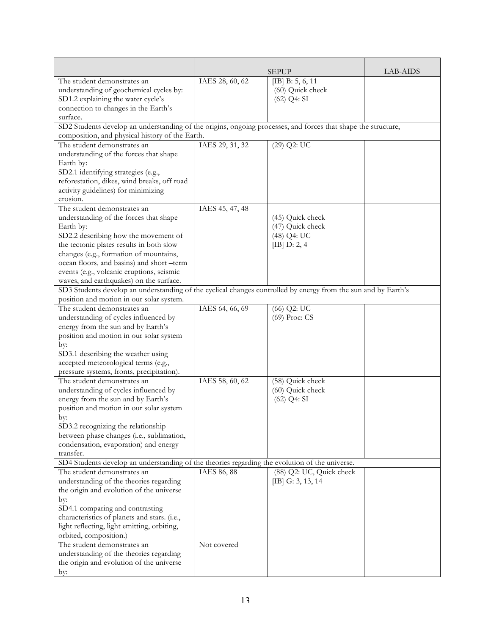|                                                                                                                |                 | <b>SEPUP</b>             | LAB-AIDS |
|----------------------------------------------------------------------------------------------------------------|-----------------|--------------------------|----------|
| The student demonstrates an                                                                                    | IAES 28, 60, 62 | [IB] B: 5, 6, 11         |          |
| understanding of geochemical cycles by:                                                                        |                 | (60) Quick check         |          |
| SD1.2 explaining the water cycle's                                                                             |                 | $(62)$ Q4: SI            |          |
| connection to changes in the Earth's                                                                           |                 |                          |          |
| surface.                                                                                                       |                 |                          |          |
| SD2 Students develop an understanding of the origins, ongoing processes, and forces that shape the structure,  |                 |                          |          |
| composition, and physical history of the Earth.                                                                |                 |                          |          |
| The student demonstrates an                                                                                    | IAES 29, 31, 32 | $(29)$ Q2: UC            |          |
| understanding of the forces that shape                                                                         |                 |                          |          |
| Earth by:                                                                                                      |                 |                          |          |
| SD2.1 identifying strategies (e.g.,                                                                            |                 |                          |          |
| reforestation, dikes, wind breaks, off road                                                                    |                 |                          |          |
| activity guidelines) for minimizing                                                                            |                 |                          |          |
| erosion.                                                                                                       |                 |                          |          |
| The student demonstrates an                                                                                    | IAES 45, 47, 48 |                          |          |
| understanding of the forces that shape                                                                         |                 | (45) Quick check         |          |
| Earth by:                                                                                                      |                 | (47) Quick check         |          |
| SD2.2 describing how the movement of                                                                           |                 | (48) Q4: UC              |          |
| the tectonic plates results in both slow                                                                       |                 | [IB] D: 2, 4             |          |
| changes (e.g., formation of mountains,                                                                         |                 |                          |          |
| ocean floors, and basins) and short-term                                                                       |                 |                          |          |
| events (e.g., volcanic eruptions, seismic                                                                      |                 |                          |          |
| waves, and earthquakes) on the surface.                                                                        |                 |                          |          |
| SD3 Students develop an understanding of the cyclical changes controlled by energy from the sun and by Earth's |                 |                          |          |
| position and motion in our solar system.                                                                       |                 |                          |          |
| The student demonstrates an                                                                                    | IAES 64, 66, 69 | (66) Q2: UC              |          |
| understanding of cycles influenced by                                                                          |                 | (69) Proc: CS            |          |
| energy from the sun and by Earth's                                                                             |                 |                          |          |
| position and motion in our solar system                                                                        |                 |                          |          |
| by:                                                                                                            |                 |                          |          |
| SD3.1 describing the weather using                                                                             |                 |                          |          |
| accepted meteorological terms (e.g.,                                                                           |                 |                          |          |
| pressure systems, fronts, precipitation).                                                                      |                 |                          |          |
| The student demonstrates an                                                                                    | IAES 58, 60, 62 | (58) Quick check         |          |
| understanding of cycles influenced by                                                                          |                 | (60) Quick check         |          |
| energy from the sun and by Earth's                                                                             |                 | $(62)$ Q4: SI            |          |
| position and motion in our solar system                                                                        |                 |                          |          |
| by:                                                                                                            |                 |                          |          |
| SD3.2 recognizing the relationship                                                                             |                 |                          |          |
| between phase changes (i.e., sublimation,                                                                      |                 |                          |          |
| condensation, evaporation) and energy                                                                          |                 |                          |          |
| transfer.                                                                                                      |                 |                          |          |
| SD4 Students develop an understanding of the theories regarding the evolution of the universe.                 |                 |                          |          |
| The student demonstrates an                                                                                    | IAES 86, 88     | (88) Q2: UC, Quick check |          |
| understanding of the theories regarding                                                                        |                 | [IB] G: 3, 13, 14        |          |
| the origin and evolution of the universe                                                                       |                 |                          |          |
| by:                                                                                                            |                 |                          |          |
| SD4.1 comparing and contrasting                                                                                |                 |                          |          |
| characteristics of planets and stars. (i.e.,                                                                   |                 |                          |          |
| light reflecting, light emitting, orbiting,                                                                    |                 |                          |          |
| orbited, composition.)                                                                                         |                 |                          |          |
| The student demonstrates an                                                                                    | Not covered     |                          |          |
| understanding of the theories regarding                                                                        |                 |                          |          |
| the origin and evolution of the universe                                                                       |                 |                          |          |
| by:                                                                                                            |                 |                          |          |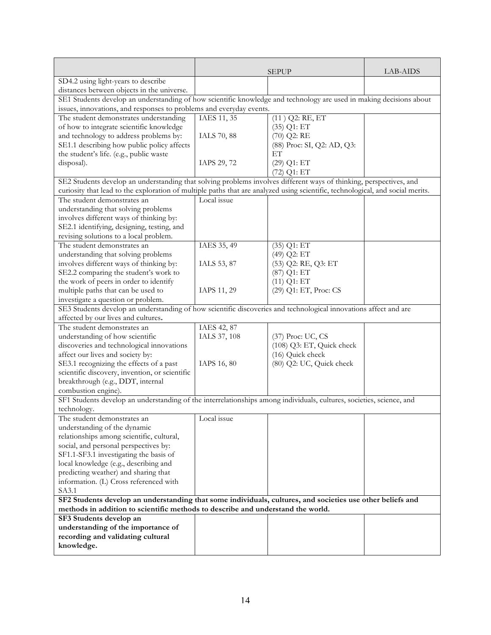|                                                                                                                                     |              | <b>SEPUP</b>               | LAB-AIDS |
|-------------------------------------------------------------------------------------------------------------------------------------|--------------|----------------------------|----------|
| SD4.2 using light-years to describe                                                                                                 |              |                            |          |
| distances between objects in the universe.                                                                                          |              |                            |          |
| SE1 Students develop an understanding of how scientific knowledge and technology are used in making decisions about                 |              |                            |          |
| issues, innovations, and responses to problems and everyday events.                                                                 |              |                            |          |
| The student demonstrates understanding                                                                                              | IAES 11, 35  | $(11)$ Q2: RE, ET          |          |
| of how to integrate scientific knowledge                                                                                            |              | $(35)$ Q1: ET              |          |
| and technology to address problems by:                                                                                              | IALS 70, 88  | $(70)$ Q2: RE              |          |
| SE1.1 describing how public policy affects                                                                                          |              | (88) Proc: SI, Q2: AD, Q3: |          |
| the student's life. (e.g., public waste                                                                                             |              | ET                         |          |
| disposal).                                                                                                                          | IAPS 29, 72  | $(29)$ Q1: ET              |          |
|                                                                                                                                     |              | $(72)$ Q1: ET              |          |
| SE2 Students develop an understanding that solving problems involves different ways of thinking, perspectives, and                  |              |                            |          |
| curiosity that lead to the exploration of multiple paths that are analyzed using scientific, technological, and social merits.      |              |                            |          |
| The student demonstrates an                                                                                                         | Local issue  |                            |          |
| understanding that solving problems                                                                                                 |              |                            |          |
| involves different ways of thinking by:                                                                                             |              |                            |          |
| SE2.1 identifying, designing, testing, and                                                                                          |              |                            |          |
| revising solutions to a local problem.                                                                                              |              |                            |          |
| The student demonstrates an                                                                                                         | IAES 35, 49  | $(35)$ Q1: ET              |          |
| understanding that solving problems                                                                                                 |              | (49) Q2: ET                |          |
| involves different ways of thinking by:                                                                                             | IALS 53, 87  | (53) Q2: RE, Q3: ET        |          |
| SE2.2 comparing the student's work to                                                                                               |              | (87) Q1: ET                |          |
| the work of peers in order to identify                                                                                              |              | $(11)$ Q1: ET              |          |
| multiple paths that can be used to                                                                                                  | IAPS 11, 29  | (29) Q1: ET, Proc: CS      |          |
| investigate a question or problem.                                                                                                  |              |                            |          |
| SE3 Students develop an understanding of how scientific discoveries and technological innovations affect and are                    |              |                            |          |
| affected by our lives and cultures.                                                                                                 |              |                            |          |
| The student demonstrates an                                                                                                         | IAES 42, 87  |                            |          |
| understanding of how scientific                                                                                                     | IALS 37, 108 | (37) Proc: UC, CS          |          |
| discoveries and technological innovations                                                                                           |              | (108) Q3: ET, Quick check  |          |
| affect our lives and society by:                                                                                                    |              | (16) Quick check           |          |
| SE3.1 recognizing the effects of a past                                                                                             | IAPS 16, 80  | (80) Q2: UC, Quick check   |          |
| scientific discovery, invention, or scientific                                                                                      |              |                            |          |
| breakthrough (e.g., DDT, internal                                                                                                   |              |                            |          |
| combustion engine).                                                                                                                 |              |                            |          |
| SF1 Students develop an understanding of the interrelationships among individuals, cultures, societies, science, and<br>technology. |              |                            |          |
| The student demonstrates an                                                                                                         | Local issue  |                            |          |
| understanding of the dynamic                                                                                                        |              |                            |          |
| relationships among scientific, cultural,                                                                                           |              |                            |          |
| social, and personal perspectives by:                                                                                               |              |                            |          |
| SF1.1-SF3.1 investigating the basis of                                                                                              |              |                            |          |
| local knowledge (e.g., describing and                                                                                               |              |                            |          |
| predicting weather) and sharing that                                                                                                |              |                            |          |
| information. (L) Cross referenced with                                                                                              |              |                            |          |
| SA3.1                                                                                                                               |              |                            |          |
| SF2 Students develop an understanding that some individuals, cultures, and societies use other beliefs and                          |              |                            |          |
| methods in addition to scientific methods to describe and understand the world.                                                     |              |                            |          |
| SF3 Students develop an                                                                                                             |              |                            |          |
| understanding of the importance of                                                                                                  |              |                            |          |
| recording and validating cultural                                                                                                   |              |                            |          |
| knowledge.                                                                                                                          |              |                            |          |
|                                                                                                                                     |              |                            |          |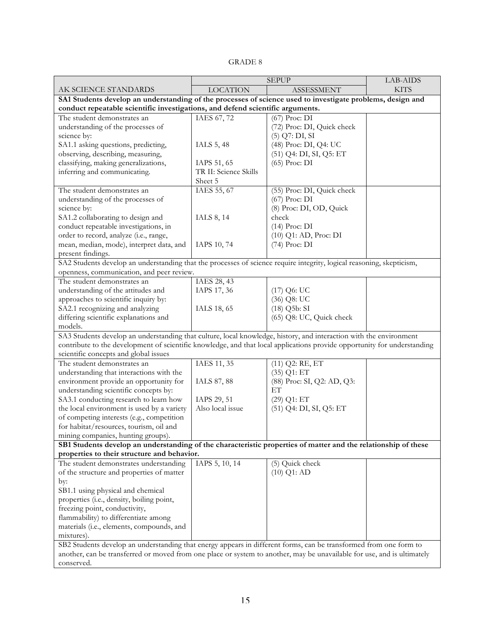|                                                                                                                                                                   | <b>SEPUP</b>          |                             | <b>LAB-AIDS</b> |
|-------------------------------------------------------------------------------------------------------------------------------------------------------------------|-----------------------|-----------------------------|-----------------|
| AK SCIENCE STANDARDS                                                                                                                                              | <b>LOCATION</b>       | <b>ASSESSMENT</b>           | <b>KITS</b>     |
| SA1 Students develop an understanding of the processes of science used to investigate problems, design and                                                        |                       |                             |                 |
| conduct repeatable scientific investigations, and defend scientific arguments.                                                                                    |                       |                             |                 |
| The student demonstrates an                                                                                                                                       | IAES 67, 72           | (67) Proc: DI               |                 |
| understanding of the processes of                                                                                                                                 |                       | (72) Proc: DI, Quick check  |                 |
| science by:                                                                                                                                                       |                       | $(5)$ Q7: DI, SI            |                 |
| SA1.1 asking questions, predicting,                                                                                                                               | IALS 5, 48            | (48) Proc: DI, Q4: UC       |                 |
| observing, describing, measuring,                                                                                                                                 |                       | (51) Q4: DI, SI, Q5: ET     |                 |
| classifying, making generalizations,                                                                                                                              | IAPS 51, 65           | (65) Proc: DI               |                 |
| inferring and communicating.                                                                                                                                      | TR II: Science Skills |                             |                 |
|                                                                                                                                                                   | Sheet 5               |                             |                 |
| The student demonstrates an                                                                                                                                       | IAES 55, 67           | (55) Proc: DI, Quick check  |                 |
| understanding of the processes of                                                                                                                                 |                       | $(67)$ Proc: DI             |                 |
| science by:                                                                                                                                                       |                       | (8) Proc: DI, OD, Quick     |                 |
| SA1.2 collaborating to design and                                                                                                                                 | IALS 8, 14            | check                       |                 |
| conduct repeatable investigations, in                                                                                                                             |                       | $(14)$ Proc: DI             |                 |
| order to record, analyze (i.e., range,                                                                                                                            |                       | (10) Q1: AD, Proc: DI       |                 |
| mean, median, mode), interpret data, and                                                                                                                          | IAPS 10, 74           | (74) Proc: DI               |                 |
| present findings.                                                                                                                                                 |                       |                             |                 |
| SA2 Students develop an understanding that the processes of science require integrity, logical reasoning, skepticism,                                             |                       |                             |                 |
| openness, communication, and peer review.                                                                                                                         |                       |                             |                 |
| The student demonstrates an                                                                                                                                       | IAES 28, 43           |                             |                 |
| understanding of the attitudes and                                                                                                                                | IAPS 17, 36           | $(17)$ Q6: UC               |                 |
| approaches to scientific inquiry by:                                                                                                                              |                       | (36) Q8: UC                 |                 |
| SA2.1 recognizing and analyzing                                                                                                                                   | IALS 18, 65           | $(18)$ Q <sub>5</sub> b: SI |                 |
| differing scientific explanations and                                                                                                                             |                       | (65) Q8: UC, Quick check    |                 |
| models.                                                                                                                                                           |                       |                             |                 |
| SA3 Students develop an understanding that culture, local knowledge, history, and interaction with the environment                                                |                       |                             |                 |
| contribute to the development of scientific knowledge, and that local applications provide opportunity for understanding<br>scientific concepts and global issues |                       |                             |                 |
| The student demonstrates an                                                                                                                                       | IAES 11, 35           | $(11)$ Q2: RE, ET           |                 |
| understanding that interactions with the                                                                                                                          |                       | $(35)$ Q1: ET               |                 |
| environment provide an opportunity for                                                                                                                            | IALS 87, 88           | (88) Proc: SI, Q2: AD, Q3:  |                 |
| understanding scientific concepts by:                                                                                                                             |                       | ET                          |                 |
| SA3.1 conducting research to learn how                                                                                                                            | IAPS 29, 51           | $(29)$ Q1: ET               |                 |
| the local environment is used by a variety                                                                                                                        | Also local issue      | (51) Q4: DI, SI, Q5: ET     |                 |
| of competing interests (e.g., competition                                                                                                                         |                       |                             |                 |
| for habitat/resources, tourism, oil and                                                                                                                           |                       |                             |                 |
| mining companies, hunting groups).                                                                                                                                |                       |                             |                 |
| SB1 Students develop an understanding of the characteristic properties of matter and the relationship of these                                                    |                       |                             |                 |
| properties to their structure and behavior.                                                                                                                       |                       |                             |                 |
| The student demonstrates understanding                                                                                                                            | IAPS 5, 10, 14        | (5) Quick check             |                 |
| of the structure and properties of matter                                                                                                                         |                       | $(10)$ Q1: AD               |                 |
| by:                                                                                                                                                               |                       |                             |                 |
| SB1.1 using physical and chemical                                                                                                                                 |                       |                             |                 |
| properties (i.e., density, boiling point,                                                                                                                         |                       |                             |                 |
| freezing point, conductivity,                                                                                                                                     |                       |                             |                 |
| flammability) to differentiate among                                                                                                                              |                       |                             |                 |
| materials (i.e., elements, compounds, and                                                                                                                         |                       |                             |                 |
| mixtures).                                                                                                                                                        |                       |                             |                 |
| SB2 Students develop an understanding that energy appears in different forms, can be transformed from one form to                                                 |                       |                             |                 |
| another, can be transferred or moved from one place or system to another, may be unavailable for use, and is ultimately                                           |                       |                             |                 |
| conserved.                                                                                                                                                        |                       |                             |                 |

## GRADE 8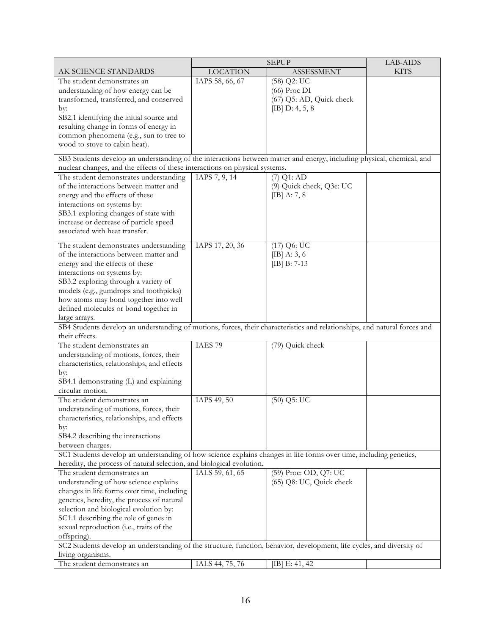|                                                                                                                                                                                             | <b>SEPUP</b>       | <b>LAB-AIDS</b>          |             |
|---------------------------------------------------------------------------------------------------------------------------------------------------------------------------------------------|--------------------|--------------------------|-------------|
| AK SCIENCE STANDARDS                                                                                                                                                                        | <b>LOCATION</b>    | <b>ASSESSMENT</b>        | <b>KITS</b> |
| The student demonstrates an                                                                                                                                                                 | IAPS 58, 66, 67    | $(58)$ Q2: UC            |             |
| understanding of how energy can be                                                                                                                                                          |                    | $(66)$ Proc DI           |             |
| transformed, transferred, and conserved                                                                                                                                                     |                    | (67) Q5: AD, Quick check |             |
| by:                                                                                                                                                                                         |                    | [IB] $D: 4, 5, 8$        |             |
| SB2.1 identifying the initial source and                                                                                                                                                    |                    |                          |             |
| resulting change in forms of energy in                                                                                                                                                      |                    |                          |             |
| common phenomena (e.g., sun to tree to                                                                                                                                                      |                    |                          |             |
| wood to stove to cabin heat).                                                                                                                                                               |                    |                          |             |
| SB3 Students develop an understanding of the interactions between matter and energy, including physical, chemical, and                                                                      |                    |                          |             |
| nuclear changes, and the effects of these interactions on physical systems.                                                                                                                 |                    |                          |             |
| The student demonstrates understanding                                                                                                                                                      | IAPS 7, 9, $14$    | $(7)$ Q1: AD             |             |
| of the interactions between matter and                                                                                                                                                      |                    | (9) Quick check, Q3e: UC |             |
| energy and the effects of these                                                                                                                                                             |                    | [IB] A: 7, 8             |             |
| interactions on systems by:                                                                                                                                                                 |                    |                          |             |
| SB3.1 exploring changes of state with                                                                                                                                                       |                    |                          |             |
| increase or decrease of particle speed                                                                                                                                                      |                    |                          |             |
| associated with heat transfer.                                                                                                                                                              |                    |                          |             |
|                                                                                                                                                                                             |                    |                          |             |
| The student demonstrates understanding                                                                                                                                                      | IAPS 17, 20, 36    | $(17)$ Q6: UC            |             |
| of the interactions between matter and                                                                                                                                                      |                    | [IB] A: 3, 6             |             |
| energy and the effects of these                                                                                                                                                             |                    | $[IB] B: 7-13$           |             |
| interactions on systems by:                                                                                                                                                                 |                    |                          |             |
| SB3.2 exploring through a variety of                                                                                                                                                        |                    |                          |             |
| models (e.g., gumdrops and toothpicks)                                                                                                                                                      |                    |                          |             |
| how atoms may bond together into well                                                                                                                                                       |                    |                          |             |
| defined molecules or bond together in                                                                                                                                                       |                    |                          |             |
| large arrays.                                                                                                                                                                               |                    |                          |             |
| SB4 Students develop an understanding of motions, forces, their characteristics and relationships, and natural forces and                                                                   |                    |                          |             |
| their effects.                                                                                                                                                                              |                    |                          |             |
| The student demonstrates an                                                                                                                                                                 | IAES <sub>79</sub> | (79) Quick check         |             |
| understanding of motions, forces, their                                                                                                                                                     |                    |                          |             |
| characteristics, relationships, and effects                                                                                                                                                 |                    |                          |             |
| by:                                                                                                                                                                                         |                    |                          |             |
| SB4.1 demonstrating (L) and explaining<br>circular motion.                                                                                                                                  |                    |                          |             |
| The student demonstrates an                                                                                                                                                                 | IAPS 49, 50        | $(50)$ Q5: UC            |             |
| understanding of motions, forces, their                                                                                                                                                     |                    |                          |             |
| characteristics, relationships, and effects                                                                                                                                                 |                    |                          |             |
| by:                                                                                                                                                                                         |                    |                          |             |
| SB4.2 describing the interactions                                                                                                                                                           |                    |                          |             |
| between charges.                                                                                                                                                                            |                    |                          |             |
|                                                                                                                                                                                             |                    |                          |             |
| SC1 Students develop an understanding of how science explains changes in life forms over time, including genetics,<br>heredity, the process of natural selection, and biological evolution. |                    |                          |             |
| The student demonstrates an                                                                                                                                                                 | IALS 59, 61, 65    | (59) Proc: OD, Q7: UC    |             |
| understanding of how science explains                                                                                                                                                       |                    | (65) Q8: UC, Quick check |             |
| changes in life forms over time, including                                                                                                                                                  |                    |                          |             |
| genetics, heredity, the process of natural                                                                                                                                                  |                    |                          |             |
| selection and biological evolution by:                                                                                                                                                      |                    |                          |             |
| SC1.1 describing the role of genes in                                                                                                                                                       |                    |                          |             |
| sexual reproduction (i.e., traits of the                                                                                                                                                    |                    |                          |             |
| offspring).                                                                                                                                                                                 |                    |                          |             |
| SC2 Students develop an understanding of the structure, function, behavior, development, life cycles, and diversity of                                                                      |                    |                          |             |
| living organisms.                                                                                                                                                                           |                    |                          |             |
| The student demonstrates an                                                                                                                                                                 | IALS 44, 75, 76    | [IB] E: $41, 42$         |             |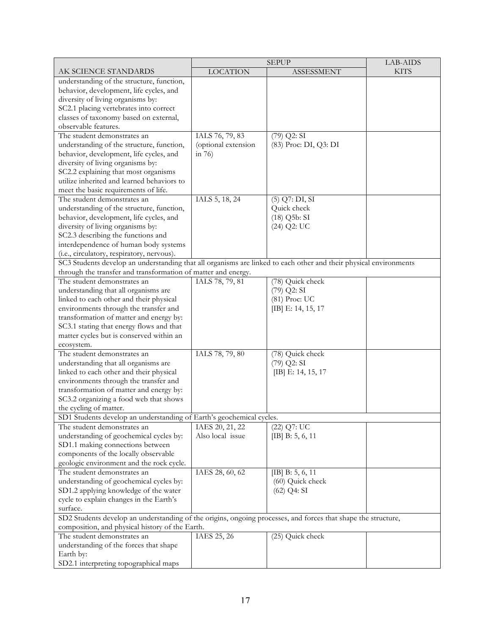|                                                                                                                   |                              | LAB-AIDS                    |             |
|-------------------------------------------------------------------------------------------------------------------|------------------------------|-----------------------------|-------------|
| AK SCIENCE STANDARDS                                                                                              | <b>LOCATION</b>              | <b>ASSESSMENT</b>           | <b>KITS</b> |
| understanding of the structure, function,                                                                         |                              |                             |             |
| behavior, development, life cycles, and                                                                           |                              |                             |             |
| diversity of living organisms by:                                                                                 |                              |                             |             |
| SC2.1 placing vertebrates into correct                                                                            |                              |                             |             |
| classes of taxonomy based on external,                                                                            |                              |                             |             |
| observable features.                                                                                              |                              |                             |             |
| The student demonstrates an                                                                                       | IALS 76, 79, 83              | $(79)$ Q2: SI               |             |
| understanding of the structure, function,                                                                         | (optional extension          | (83) Proc: DI, Q3: DI       |             |
| behavior, development, life cycles, and                                                                           | in $76$                      |                             |             |
| diversity of living organisms by:                                                                                 |                              |                             |             |
| SC2.2 explaining that most organisms                                                                              |                              |                             |             |
| utilize inherited and learned behaviors to                                                                        |                              |                             |             |
| meet the basic requirements of life.                                                                              |                              |                             |             |
| The student demonstrates an                                                                                       | IALS 5, 18, 24               | $(5)$ Q7: DI, SI            |             |
| understanding of the structure, function,                                                                         |                              | Quick check                 |             |
| behavior, development, life cycles, and                                                                           |                              | $(18)$ Q <sub>5</sub> b: SI |             |
| diversity of living organisms by:                                                                                 |                              | $(24)$ Q2: UC               |             |
| SC2.3 describing the functions and                                                                                |                              |                             |             |
| interdependence of human body systems                                                                             |                              |                             |             |
| (i.e., circulatory, respiratory, nervous).                                                                        |                              |                             |             |
| SC3 Students develop an understanding that all organisms are linked to each other and their physical environments |                              |                             |             |
| through the transfer and transformation of matter and energy.                                                     |                              |                             |             |
| The student demonstrates an                                                                                       | IALS 78, 79, 81              | (78) Quick check            |             |
| understanding that all organisms are                                                                              |                              | $(79)$ Q2: SI               |             |
| linked to each other and their physical                                                                           |                              | (81) Proc: UC               |             |
| environments through the transfer and                                                                             |                              | [IB] E: 14, 15, 17          |             |
| transformation of matter and energy by:                                                                           |                              |                             |             |
| SC3.1 stating that energy flows and that                                                                          |                              |                             |             |
| matter cycles but is conserved within an                                                                          |                              |                             |             |
| ecosystem.                                                                                                        |                              |                             |             |
| The student demonstrates an                                                                                       | IALS 78, 79, 80              | (78) Quick check            |             |
| understanding that all organisms are                                                                              |                              | $(79)$ Q2: SI               |             |
| linked to each other and their physical                                                                           |                              | [IB] E: 14, 15, 17          |             |
| environments through the transfer and                                                                             |                              |                             |             |
| transformation of matter and energy by:                                                                           |                              |                             |             |
| SC3.2 organizing a food web that shows                                                                            |                              |                             |             |
| the cycling of matter.                                                                                            |                              |                             |             |
| SD1 Students develop an understanding of Earth's geochemical cycles.                                              |                              |                             |             |
| The student demonstrates an                                                                                       | IAES 20, 21, 22              | $(22)$ Q7: UC               |             |
| understanding of geochemical cycles by:                                                                           | Also local issue             | [IB] $B: 5, 6, 11$          |             |
| SD1.1 making connections between                                                                                  |                              |                             |             |
| components of the locally observable                                                                              |                              |                             |             |
| geologic environment and the rock cycle.                                                                          |                              |                             |             |
| The student demonstrates an                                                                                       | IAES 28, 60, $\overline{62}$ | [IB] $B: 5, 6, 11$          |             |
| understanding of geochemical cycles by:                                                                           |                              | (60) Quick check            |             |
| SD1.2 applying knowledge of the water                                                                             |                              | $(62)$ Q4: SI               |             |
| cycle to explain changes in the Earth's                                                                           |                              |                             |             |
| surface.                                                                                                          |                              |                             |             |
| SD2 Students develop an understanding of the origins, ongoing processes, and forces that shape the structure,     |                              |                             |             |
| composition, and physical history of the Earth.                                                                   |                              |                             |             |
| The student demonstrates an                                                                                       | IAES 25, 26                  | (25) Quick check            |             |
| understanding of the forces that shape                                                                            |                              |                             |             |
| Earth by:                                                                                                         |                              |                             |             |
| SD2.1 interpreting topographical maps                                                                             |                              |                             |             |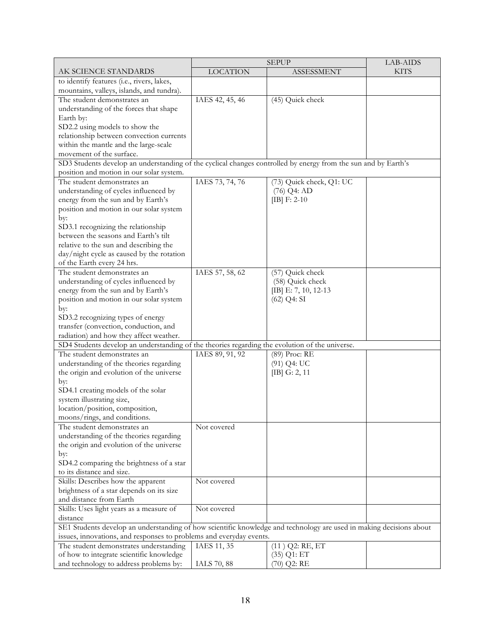|                                                                                                                     | <b>SEPUP</b>    | LAB-AIDS                 |             |
|---------------------------------------------------------------------------------------------------------------------|-----------------|--------------------------|-------------|
| AK SCIENCE STANDARDS                                                                                                | <b>LOCATION</b> | <b>ASSESSMENT</b>        | <b>KITS</b> |
| to identify features (i.e., rivers, lakes,                                                                          |                 |                          |             |
| mountains, valleys, islands, and tundra).                                                                           |                 |                          |             |
| The student demonstrates an                                                                                         | IAES 42, 45, 46 | (45) Quick check         |             |
| understanding of the forces that shape                                                                              |                 |                          |             |
| Earth by:                                                                                                           |                 |                          |             |
| SD2.2 using models to show the                                                                                      |                 |                          |             |
| relationship between convection currents                                                                            |                 |                          |             |
| within the mantle and the large-scale                                                                               |                 |                          |             |
| movement of the surface.                                                                                            |                 |                          |             |
| SD3 Students develop an understanding of the cyclical changes controlled by energy from the sun and by Earth's      |                 |                          |             |
| position and motion in our solar system.                                                                            |                 |                          |             |
| The student demonstrates an                                                                                         | IAES 73, 74, 76 | (73) Quick check, Q1: UC |             |
| understanding of cycles influenced by                                                                               |                 | $(76)$ Q4: AD            |             |
| energy from the sun and by Earth's                                                                                  |                 | [IB] $F: 2-10$           |             |
| position and motion in our solar system                                                                             |                 |                          |             |
| by:                                                                                                                 |                 |                          |             |
| SD3.1 recognizing the relationship                                                                                  |                 |                          |             |
| between the seasons and Earth's tilt                                                                                |                 |                          |             |
| relative to the sun and describing the                                                                              |                 |                          |             |
| day/night cycle as caused by the rotation                                                                           |                 |                          |             |
| of the Earth every 24 hrs.                                                                                          |                 |                          |             |
| The student demonstrates an                                                                                         | IAES 57, 58, 62 | (57) Quick check         |             |
| understanding of cycles influenced by                                                                               |                 | (58) Quick check         |             |
| energy from the sun and by Earth's                                                                                  |                 | [IB] E: 7, 10, 12-13     |             |
| position and motion in our solar system                                                                             |                 | $(62)$ Q4: SI            |             |
| by:                                                                                                                 |                 |                          |             |
| SD3.2 recognizing types of energy                                                                                   |                 |                          |             |
| transfer (convection, conduction, and                                                                               |                 |                          |             |
| radiation) and how they affect weather.                                                                             |                 |                          |             |
| SD4 Students develop an understanding of the theories regarding the evolution of the universe.                      |                 |                          |             |
| The student demonstrates an                                                                                         | IAES 89, 91, 92 | (89) Proc: RE            |             |
| understanding of the theories regarding                                                                             |                 | $(91)$ Q4: UC            |             |
| the origin and evolution of the universe                                                                            |                 | [IB] G: 2, 11            |             |
| by:                                                                                                                 |                 |                          |             |
| SD4.1 creating models of the solar                                                                                  |                 |                          |             |
| system illustrating size,                                                                                           |                 |                          |             |
| location/position, composition,                                                                                     |                 |                          |             |
| moons/rings, and conditions.                                                                                        |                 |                          |             |
| The student demonstrates an                                                                                         | Not covered     |                          |             |
| understanding of the theories regarding                                                                             |                 |                          |             |
| the origin and evolution of the universe                                                                            |                 |                          |             |
| by:                                                                                                                 |                 |                          |             |
| SD4.2 comparing the brightness of a star                                                                            |                 |                          |             |
| to its distance and size.                                                                                           |                 |                          |             |
| Skills: Describes how the apparent                                                                                  | Not covered     |                          |             |
| brightness of a star depends on its size                                                                            |                 |                          |             |
| and distance from Earth                                                                                             |                 |                          |             |
| Skills: Uses light years as a measure of                                                                            | Not covered     |                          |             |
| distance                                                                                                            |                 |                          |             |
| SE1 Students develop an understanding of how scientific knowledge and technology are used in making decisions about |                 |                          |             |
| issues, innovations, and responses to problems and everyday events.                                                 |                 |                          |             |
| The student demonstrates understanding                                                                              | IAES 11, 35     | $(11)$ Q2: RE, ET        |             |
| of how to integrate scientific knowledge                                                                            |                 | $(35)$ Q1: ET            |             |
| and technology to address problems by:                                                                              | IALS 70, 88     | $(70)$ Q2: RE            |             |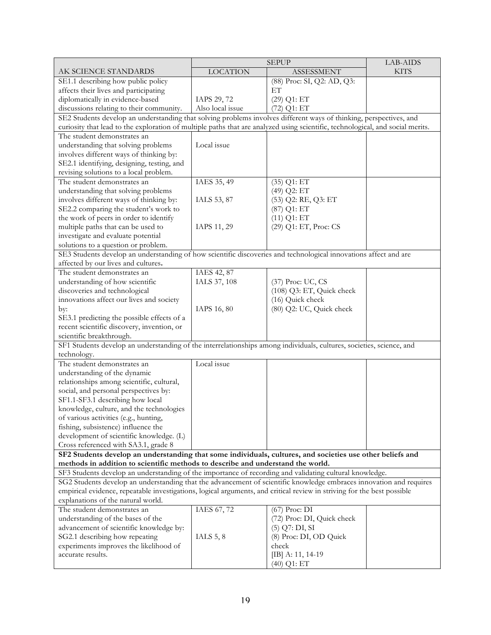|                                                                                                                                                               |                  | <b>SEPUP</b>               | LAB-AIDS    |  |
|---------------------------------------------------------------------------------------------------------------------------------------------------------------|------------------|----------------------------|-------------|--|
| AK SCIENCE STANDARDS                                                                                                                                          | <b>LOCATION</b>  | <b>ASSESSMENT</b>          | <b>KITS</b> |  |
| SE1.1 describing how public policy                                                                                                                            |                  | (88) Proc: SI, Q2: AD, Q3: |             |  |
| affects their lives and participating                                                                                                                         |                  | ET                         |             |  |
| diplomatically in evidence-based                                                                                                                              | IAPS 29, 72      | $(29)$ Q1: ET              |             |  |
| discussions relating to their community.                                                                                                                      | Also local issue | $(72)$ Q1: ET              |             |  |
| SE2 Students develop an understanding that solving problems involves different ways of thinking, perspectives, and                                            |                  |                            |             |  |
| curiosity that lead to the exploration of multiple paths that are analyzed using scientific, technological, and social merits.                                |                  |                            |             |  |
| The student demonstrates an                                                                                                                                   |                  |                            |             |  |
| understanding that solving problems                                                                                                                           | Local issue      |                            |             |  |
| involves different ways of thinking by:                                                                                                                       |                  |                            |             |  |
| SE2.1 identifying, designing, testing, and                                                                                                                    |                  |                            |             |  |
| revising solutions to a local problem.                                                                                                                        |                  |                            |             |  |
| The student demonstrates an                                                                                                                                   | IAES 35, 49      | $(35)$ Q1: $\overline{ET}$ |             |  |
| understanding that solving problems                                                                                                                           |                  | (49) Q2: ET                |             |  |
| involves different ways of thinking by:                                                                                                                       | IALS 53, 87      | (53) Q2: RE, Q3: ET        |             |  |
| SE2.2 comparing the student's work to                                                                                                                         |                  | $(87)$ Q1: ET              |             |  |
| the work of peers in order to identify                                                                                                                        |                  | $(11)$ Q1: ET              |             |  |
| multiple paths that can be used to                                                                                                                            | IAPS 11, 29      | (29) Q1: ET, Proc: CS      |             |  |
| investigate and evaluate potential                                                                                                                            |                  |                            |             |  |
| solutions to a question or problem.                                                                                                                           |                  |                            |             |  |
| SE3 Students develop an understanding of how scientific discoveries and technological innovations affect and are<br>affected by our lives and cultures.       |                  |                            |             |  |
| The student demonstrates an                                                                                                                                   | IAES 42, 87      |                            |             |  |
| understanding of how scientific                                                                                                                               | IALS 37, 108     | (37) Proc: UC, CS          |             |  |
| discoveries and technological                                                                                                                                 |                  | (108) Q3: ET, Quick check  |             |  |
| innovations affect our lives and society                                                                                                                      |                  | (16) Quick check           |             |  |
| by:                                                                                                                                                           | IAPS 16, 80      | (80) Q2: UC, Quick check   |             |  |
| SE3.1 predicting the possible effects of a                                                                                                                    |                  |                            |             |  |
| recent scientific discovery, invention, or                                                                                                                    |                  |                            |             |  |
| scientific breakthrough.                                                                                                                                      |                  |                            |             |  |
| SF1 Students develop an understanding of the interrelationships among individuals, cultures, societies, science, and                                          |                  |                            |             |  |
| technology.                                                                                                                                                   |                  |                            |             |  |
| The student demonstrates an                                                                                                                                   | Local issue      |                            |             |  |
| understanding of the dynamic                                                                                                                                  |                  |                            |             |  |
| relationships among scientific, cultural,                                                                                                                     |                  |                            |             |  |
| social, and personal perspectives by:                                                                                                                         |                  |                            |             |  |
| SF1.1-SF3.1 describing how local                                                                                                                              |                  |                            |             |  |
| knowledge, culture, and the technologies                                                                                                                      |                  |                            |             |  |
| of various activities (e.g., hunting,                                                                                                                         |                  |                            |             |  |
| fishing, subsistence) influence the                                                                                                                           |                  |                            |             |  |
| development of scientific knowledge. (L)                                                                                                                      |                  |                            |             |  |
| Cross referenced with SA3.1, grade 8                                                                                                                          |                  |                            |             |  |
| SF2 Students develop an understanding that some individuals, cultures, and societies use other beliefs and                                                    |                  |                            |             |  |
| methods in addition to scientific methods to describe and understand the world.                                                                               |                  |                            |             |  |
| SF3 Students develop an understanding of the importance of recording and validating cultural knowledge.                                                       |                  |                            |             |  |
| SG2 Students develop an understanding that the advancement of scientific knowledge embraces innovation and requires                                           |                  |                            |             |  |
| empirical evidence, repeatable investigations, logical arguments, and critical review in striving for the best possible<br>explanations of the natural world. |                  |                            |             |  |
| The student demonstrates an                                                                                                                                   | IAES 67, 72      | (67) Proc: DI              |             |  |
| understanding of the bases of the                                                                                                                             |                  | (72) Proc: DI, Quick check |             |  |
| advancement of scientific knowledge by:                                                                                                                       |                  | $(5)$ Q7: DI, SI           |             |  |
| SG2.1 describing how repeating                                                                                                                                | IALS $5, 8$      | (8) Proc: DI, OD Quick     |             |  |
| experiments improves the likelihood of                                                                                                                        |                  | check                      |             |  |
| accurate results.                                                                                                                                             |                  | [IB] A: 11, 14-19          |             |  |
|                                                                                                                                                               |                  | $(40)$ Q1: ET              |             |  |